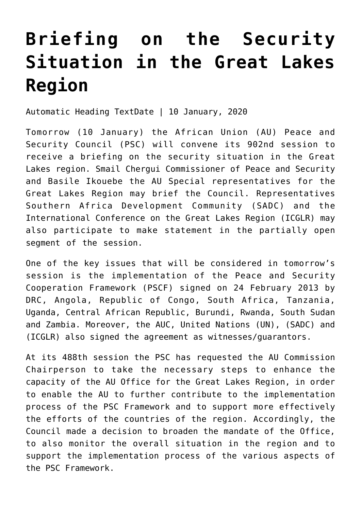## **[Briefing on the Security](https://amaniafrica-et.org/briefing-on-the-security-situation-in-the-great-lakes-region/) [Situation in the Great Lakes](https://amaniafrica-et.org/briefing-on-the-security-situation-in-the-great-lakes-region/) [Region](https://amaniafrica-et.org/briefing-on-the-security-situation-in-the-great-lakes-region/)**

Automatic Heading TextDate | 10 January, 2020

Tomorrow (10 January) the African Union (AU) Peace and Security Council (PSC) will convene its 902nd session to receive a briefing on the security situation in the Great Lakes region. Smail Chergui Commissioner of Peace and Security and Basile Ikouebe the AU Special representatives for the Great Lakes Region may brief the Council. Representatives Southern Africa Development Community (SADC) and the International Conference on the Great Lakes Region (ICGLR) may also participate to make statement in the partially open segment of the session.

One of the key issues that will be considered in tomorrow's session is the implementation of the Peace and Security Cooperation Framework (PSCF) signed on 24 February 2013 by DRC, Angola, Republic of Congo, South Africa, Tanzania, Uganda, Central African Republic, Burundi, Rwanda, South Sudan and Zambia. Moreover, the AUC, United Nations (UN), (SADC) and (ICGLR) also signed the agreement as witnesses/guarantors.

At its 488th session the PSC has requested the AU Commission Chairperson to take the necessary steps to enhance the capacity of the AU Office for the Great Lakes Region, in order to enable the AU to further contribute to the implementation process of the PSC Framework and to support more effectively the efforts of the countries of the region. Accordingly, the Council made a decision to broaden the mandate of the Office, to also monitor the overall situation in the region and to support the implementation process of the various aspects of the PSC Framework.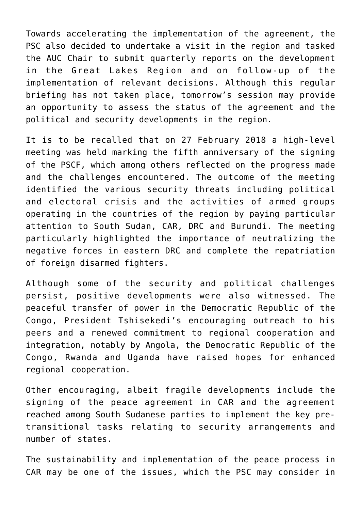Towards accelerating the implementation of the agreement, the PSC also decided to undertake a visit in the region and tasked the AUC Chair to submit quarterly reports on the development in the Great Lakes Region and on follow-up of the implementation of relevant decisions. Although this regular briefing has not taken place, tomorrow's session may provide an opportunity to assess the status of the agreement and the political and security developments in the region.

It is to be recalled that on 27 February 2018 a high-level meeting was held marking the fifth anniversary of the signing of the PSCF, which among others reflected on the progress made and the challenges encountered. The outcome of the meeting identified the various security threats including political and electoral crisis and the activities of armed groups operating in the countries of the region by paying particular attention to South Sudan, CAR, DRC and Burundi. The meeting particularly highlighted the importance of neutralizing the negative forces in eastern DRC and complete the repatriation of foreign disarmed fighters.

Although some of the security and political challenges persist, positive developments were also witnessed. The peaceful transfer of power in the Democratic Republic of the Congo, President Tshisekedi's encouraging outreach to his peers and a renewed commitment to regional cooperation and integration, notably by Angola, the Democratic Republic of the Congo, Rwanda and Uganda have raised hopes for enhanced regional cooperation.

Other encouraging, albeit fragile developments include the signing of the peace agreement in CAR and the agreement reached among South Sudanese parties to implement the key pretransitional tasks relating to security arrangements and number of states.

The sustainability and implementation of the peace process in CAR may be one of the issues, which the PSC may consider in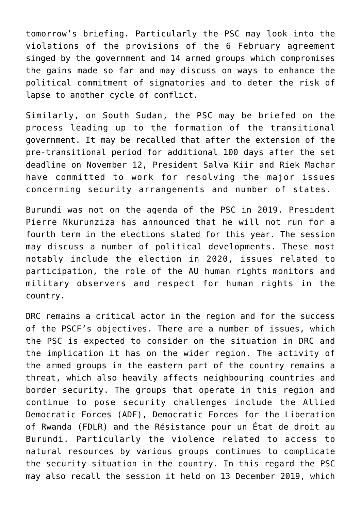tomorrow's briefing. Particularly the PSC may look into the violations of the provisions of the 6 February agreement singed by the government and 14 armed groups which compromises the gains made so far and may discuss on ways to enhance the political commitment of signatories and to deter the risk of lapse to another cycle of conflict.

Similarly, on South Sudan, the PSC may be briefed on the process leading up to the formation of the transitional government. It may be recalled that after the extension of the pre-transitional period for additional 100 days after the set deadline on November 12, President Salva Kiir and Riek Machar have committed to work for resolving the major issues concerning security arrangements and number of states.

Burundi was not on the agenda of the PSC in 2019. President Pierre Nkurunziza has announced that he will not run for a fourth term in the elections slated for this year. The session may discuss a number of political developments. These most notably include the election in 2020, issues related to participation, the role of the AU human rights monitors and military observers and respect for human rights in the country.

DRC remains a critical actor in the region and for the success of the PSCF's objectives. There are a number of issues, which the PSC is expected to consider on the situation in DRC and the implication it has on the wider region. The activity of the armed groups in the eastern part of the country remains a threat, which also heavily affects neighbouring countries and border security. The groups that operate in this region and continue to pose security challenges include the Allied Democratic Forces (ADF), Democratic Forces for the Liberation of Rwanda (FDLR) and the Résistance pour un État de droit au Burundi. Particularly the violence related to access to natural resources by various groups continues to complicate the security situation in the country. In this regard the PSC may also recall the session it held on 13 December 2019, which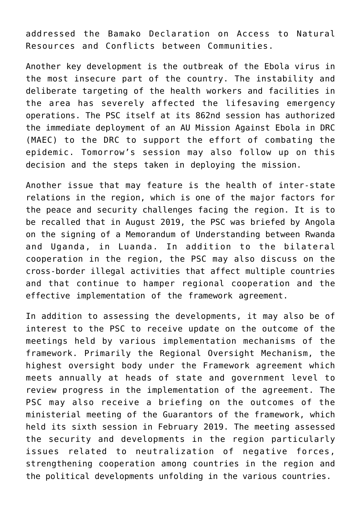addressed the Bamako Declaration on Access to Natural Resources and Conflicts between Communities.

Another key development is the outbreak of the Ebola virus in the most insecure part of the country. The instability and deliberate targeting of the health workers and facilities in the area has severely affected the lifesaving emergency operations. The PSC itself at its 862nd session has authorized the immediate deployment of an AU Mission Against Ebola in DRC (MAEC) to the DRC to support the effort of combating the epidemic. Tomorrow's session may also follow up on this decision and the steps taken in deploying the mission.

Another issue that may feature is the health of inter-state relations in the region, which is one of the major factors for the peace and security challenges facing the region. It is to be recalled that in August 2019, the PSC was briefed by Angola on the signing of a Memorandum of Understanding between Rwanda and Uganda, in Luanda. In addition to the bilateral cooperation in the region, the PSC may also discuss on the cross-border illegal activities that affect multiple countries and that continue to hamper regional cooperation and the effective implementation of the framework agreement.

In addition to assessing the developments, it may also be of interest to the PSC to receive update on the outcome of the meetings held by various implementation mechanisms of the framework. Primarily the Regional Oversight Mechanism, the highest oversight body under the Framework agreement which meets annually at heads of state and government level to review progress in the implementation of the agreement. The PSC may also receive a briefing on the outcomes of the ministerial meeting of the Guarantors of the framework, which held its sixth session in February 2019. The meeting assessed the security and developments in the region particularly issues related to neutralization of negative forces, strengthening cooperation among countries in the region and the political developments unfolding in the various countries.